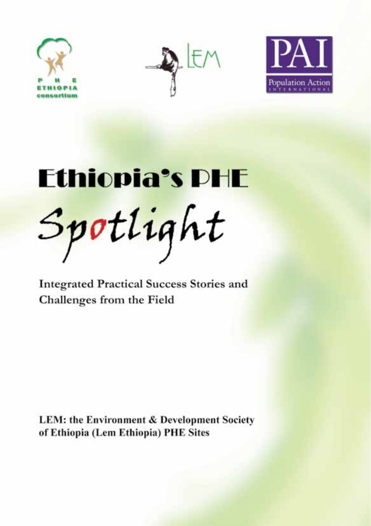





Ethiopia's PHE Spotlight

**Integrated Practical Success Stories and Challenges from the Field**

**LEM: the Environment & Development Society of Ethiopia (Lem Ethiopia) PHE Sites**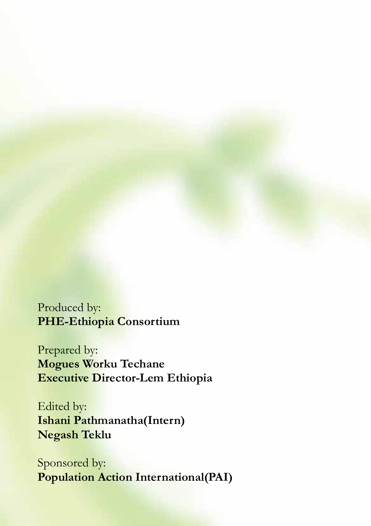Produced by: **PHE-Ethiopia Consortium**

Prepared by: **Mogues Worku Techane Executive Director-Lem Ethiopia**

Edited by: **Ishani Pathmanatha(Intern) Negash Teklu**

Sponsored by: **Population Action International(PAI)**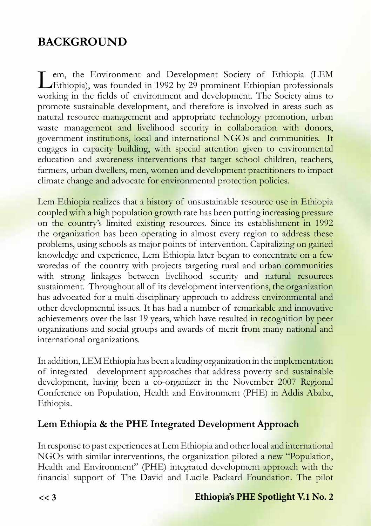# **BACKGROUND**

Lethiopia), was founded in 1992 by 29 prominent Ethiopian professionals<br>Lethiopia), was founded in 1992 by 29 prominent Ethiopian professionals working in the fields of environment and development. The Society aims to promote sustainable development, and therefore is involved in areas such as natural resource management and appropriate technology promotion, urban waste management and livelihood security in collaboration with donors, government institutions, local and international NGOs and communities. It engages in capacity building, with special attention given to environmental education and awareness interventions that target school children, teachers, farmers, urban dwellers, men, women and development practitioners to impact climate change and advocate for environmental protection policies.

Lem Ethiopia realizes that a history of unsustainable resource use in Ethiopia coupled with a high population growth rate has been putting increasing pressure on the country's limited existing resources. Since its establishment in 1992 the organization has been operating in almost every region to address these problems, using schools as major points of intervention. Capitalizing on gained knowledge and experience, Lem Ethiopia later began to concentrate on a few woredas of the country with projects targeting rural and urban communities with strong linkages between livelihood security and natural resources sustainment. Throughout all of its development interventions, the organization has advocated for a multi-disciplinary approach to address environmental and other developmental issues. It has had a number of remarkable and innovative achievements over the last 19 years, which have resulted in recognition by peer organizations and social groups and awards of merit from many national and international organizations.

In addition, LEM Ethiopia has been a leading organization in the implementation of integrated development approaches that address poverty and sustainable development, having been a co-organizer in the November 2007 Regional Conference on Population, Health and Environment (PHE) in Addis Ababa, Ethiopia.

## **Lem Ethiopia & the PHE Integrated Development Approach**

In response to past experiences at Lem Ethiopia and other local and international NGOs with similar interventions, the organization piloted a new "Population, Health and Environment" (PHE) integrated development approach with the financial support of The David and Lucile Packard Foundation. The pilot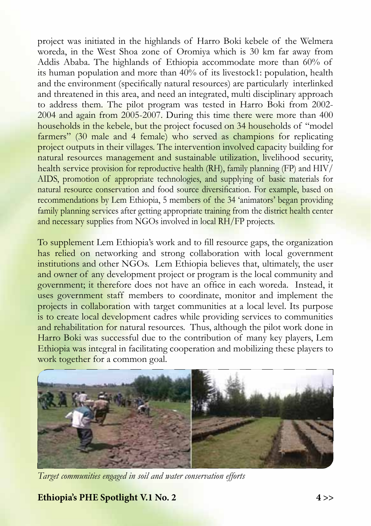project was initiated in the highlands of Harro Boki kebele of the Welmera woreda, in the West Shoa zone of Oromiya which is 30 km far away from Addis Ababa. The highlands of Ethiopia accommodate more than 60% of its human population and more than 40% of its livestock1: population, health and the environment (specifically natural resources) are particularly interlinked and threatened in this area, and need an integrated, multi disciplinary approach to address them. The pilot program was tested in Harro Boki from 2002- 2004 and again from 2005-2007. During this time there were more than 400 households in the kebele, but the project focused on 34 households of "model farmers" (30 male and 4 female) who served as champions for replicating project outputs in their villages. The intervention involved capacity building for natural resources management and sustainable utilization, livelihood security, health service provision for reproductive health (RH), family planning (FP) and HIV/ AIDS, promotion of appropriate technologies, and supplying of basic materials for natural resource conservation and food source diversification. For example, based on recommendations by Lem Ethiopia, 5 members of the 34 'animators' began providing family planning services after getting appropriate training from the district health center and necessary supplies from NGOs involved in local RH/FP projects.

To supplement Lem Ethiopia's work and to fill resource gaps, the organization has relied on networking and strong collaboration with local government institutions and other NGOs. Lem Ethiopia believes that, ultimately, the user and owner of any development project or program is the local community and government; it therefore does not have an office in each woreda. Instead, it uses government staff members to coordinate, monitor and implement the projects in collaboration with target communities at a local level. Its purpose is to create local development cadres while providing services to communities and rehabilitation for natural resources. Thus, although the pilot work done in Harro Boki was successful due to the contribution of many key players, Lem Ethiopia was integral in facilitating cooperation and mobilizing these players to work together for a common goal.



*Target communities engaged in soil and water conservation efforts*

**Ethiopia's PHE Spotlight V.1 No. 2 4 >>**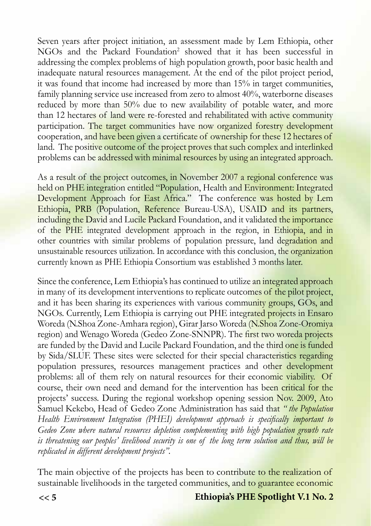Seven years after project initiation, an assessment made by Lem Ethiopia, other NGOs and the Packard Foundation<sup>2</sup> showed that it has been successful in addressing the complex problems of high population growth, poor basic health and inadequate natural resources management. At the end of the pilot project period, it was found that income had increased by more than 15% in target communities, family planning service use increased from zero to almost 40%, waterborne diseases reduced by more than 50% due to new availability of potable water, and more than 12 hectares of land were re-forested and rehabilitated with active community participation. The target communities have now organized forestry development cooperation, and have been given a certificate of ownership for these 12 hectares of land. The positive outcome of the project proves that such complex and interlinked problems can be addressed with minimal resources by using an integrated approach.

As a result of the project outcomes, in November 2007 a regional conference was held on PHE integration entitled "Population, Health and Environment: Integrated Development Approach for East Africa." The conference was hosted by Lem Ethiopia, PRB (Population, Reference Bureau-USA), USAID and its partners, including the David and Lucile Packard Foundation, and it validated the importance of the PHE integrated development approach in the region, in Ethiopia, and in other countries with similar problems of population pressure, land degradation and unsustainable resources utilization. In accordance with this conclusion, the organization currently known as PHE Ethiopia Consortium was established 3 months later.

Since the conference, Lem Ethiopia's has continued to utilize an integrated approach in many of its development interventions to replicate outcomes of the pilot project, and it has been sharing its experiences with various community groups, GOs, and NGOs. Currently, Lem Ethiopia is carrying out PHE integrated projects in Ensaro Woreda (N.Shoa Zone-Amhara region), Girar Jarso Woreda (N.Shoa Zone-Oromiya region) and Wenago Woreda (Gedeo Zone-SNNPR). The first two woreda projects are funded by the David and Lucile Packard Foundation, and the third one is funded by Sida/SLUF. These sites were selected for their special characteristics regarding population pressures, resources management practices and other development problems: all of them rely on natural resources for their economic viability. Of course, their own need and demand for the intervention has been critical for the projects' success. During the regional workshop opening session Nov. 2009, Ato Samuel Kekebo, Head of Gedeo Zone Administration has said that *" the Population Health Environment Integration (PHEI) development approach is specifically important to Gedeo Zone where natural resources depletion complementing with high population growth rate is threatening our peoples' livelihood security is one of the long term solution and thus, will be replicated in different development projects".* 

The main objective of the projects has been to contribute to the realization of sustainable livelihoods in the targeted communities, and to guarantee economic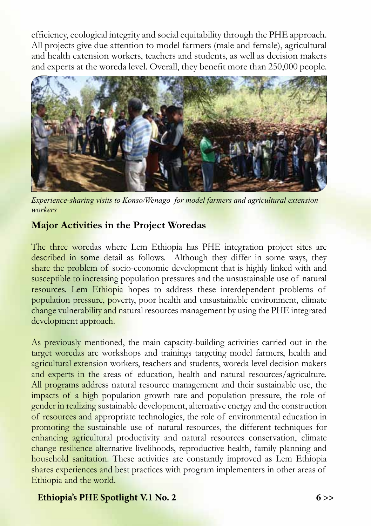efficiency, ecological integrity and social equitability through the PHE approach. All projects give due attention to model farmers (male and female), agricultural and health extension workers, teachers and students, as well as decision makers and experts at the woreda level. Overall, they benefit more than 250,000 people.



*Experience-sharing visits to Konso/Wenago for model farmers and agricultural extension workers* 

### **Major Activities in the Project Woredas**

The three woredas where Lem Ethiopia has PHE integration project sites are described in some detail as follows. Although they differ in some ways, they share the problem of socio-economic development that is highly linked with and susceptible to increasing population pressures and the unsustainable use of natural resources. Lem Ethiopia hopes to address these interdependent problems of population pressure, poverty, poor health and unsustainable environment, climate change vulnerability and natural resources management by using the PHE integrated development approach.

As previously mentioned, the main capacity-building activities carried out in the target woredas are workshops and trainings targeting model farmers, health and agricultural extension workers, teachers and students, woreda level decision makers and experts in the areas of education, health and natural resources/agriculture. All programs address natural resource management and their sustainable use, the impacts of a high population growth rate and population pressure, the role of gender in realizing sustainable development, alternative energy and the construction of resources and appropriate technologies, the role of environmental education in promoting the sustainable use of natural resources, the different techniques for enhancing agricultural productivity and natural resources conservation, climate change resilience alternative livelihoods, reproductive health, family planning and household sanitation. These activities are constantly improved as Lem Ethiopia shares experiences and best practices with program implementers in other areas of Ethiopia and the world.

#### **Ethiopia's PHE Spotlight V.1 No. 2 6 >>**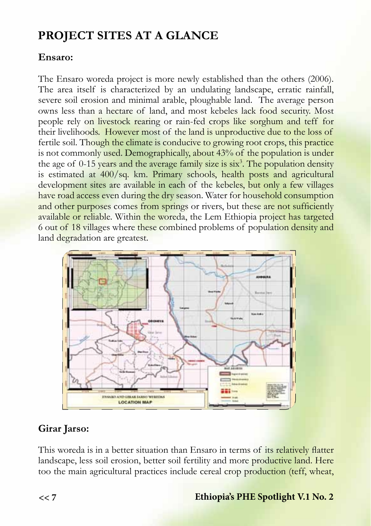# **PROJECT SITES AT A GLANCE**

## **Ensaro:**

The Ensaro woreda project is more newly established than the others (2006). The area itself is characterized by an undulating landscape, erratic rainfall, severe soil erosion and minimal arable, ploughable land. The average person owns less than a hectare of land, and most kebeles lack food security. Most people rely on livestock rearing or rain-fed crops like sorghum and teff for their livelihoods. However most of the land is unproductive due to the loss of fertile soil. Though the climate is conducive to growing root crops, this practice is not commonly used. Demographically, about 43% of the population is under the age of 0-15 years and the average family size is six<sup>3</sup>. The population density is estimated at 400/sq. km. Primary schools, health posts and agricultural development sites are available in each of the kebeles, but only a few villages have road access even during the dry season. Water for household consumption and other purposes comes from springs or rivers, but these are not sufficiently available or reliable. Within the woreda, the Lem Ethiopia project has targeted 6 out of 18 villages where these combined problems of population density and land degradation are greatest.



## **Girar Jarso:**

This woreda is in a better situation than Ensaro in terms of its relatively flatter landscape, less soil erosion, better soil fertility and more productive land. Here too the main agricultural practices include cereal crop production (teff, wheat,

## **Ethiopia's PHE Spotlight V.1 No. 2**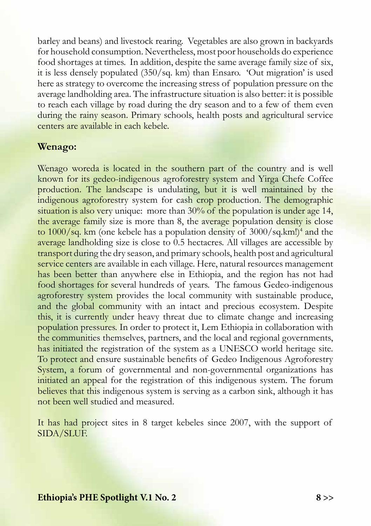barley and beans) and livestock rearing. Vegetables are also grown in backyards for household consumption. Nevertheless, most poor households do experience food shortages at times. In addition, despite the same average family size of six, it is less densely populated (350/sq. km) than Ensaro. 'Out migration' is used here as strategy to overcome the increasing stress of population pressure on the average landholding area. The infrastructure situation is also better: it is possible to reach each village by road during the dry season and to a few of them even during the rainy season. Primary schools, health posts and agricultural service centers are available in each kebele.

#### **Wenago:**

Wenago woreda is located in the southern part of the country and is well known for its gedeo-indigenous agroforestry system and Yirga Chefe Coffee production. The landscape is undulating, but it is well maintained by the indigenous agroforestry system for cash crop production. The demographic situation is also very unique: more than 30% of the population is under age 14, the average family size is more than 8, the average population density is close to 1000/sq. km (one kebele has a population density of 3000/sq.km!)<sup>4</sup> and the average landholding size is close to 0.5 hectacres. All villages are accessible by transport during the dry season, and primary schools, health post and agricultural service centers are available in each village. Here, natural resources management has been better than anywhere else in Ethiopia, and the region has not had food shortages for several hundreds of years. The famous Gedeo-indigenous agroforestry system provides the local community with sustainable produce, and the global community with an intact and precious ecosystem. Despite this, it is currently under heavy threat due to climate change and increasing population pressures. In order to protect it, Lem Ethiopia in collaboration with the communities themselves, partners, and the local and regional governments, has initiated the registration of the system as a UNESCO world heritage site. To protect and ensure sustainable benefits of Gedeo Indigenous Agroforestry System, a forum of governmental and non-governmental organizations has initiated an appeal for the registration of this indigenous system. The forum believes that this indigenous system is serving as a carbon sink, although it has not been well studied and measured.

It has had project sites in 8 target kebeles since 2007, with the support of SIDA/SLUF.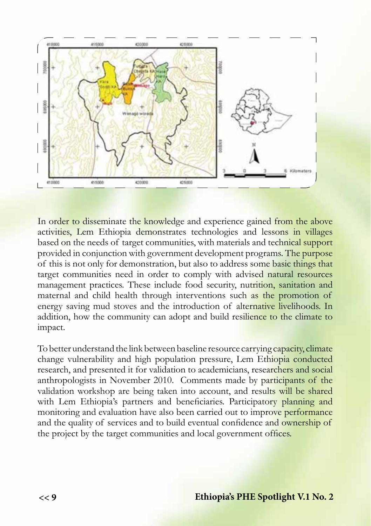

In order to disseminate the knowledge and experience gained from the above activities, Lem Ethiopia demonstrates technologies and lessons in villages based on the needs of target communities, with materials and technical support provided in conjunction with government development programs. The purpose of this is not only for demonstration, but also to address some basic things that target communities need in order to comply with advised natural resources management practices. These include food security, nutrition, sanitation and maternal and child health through interventions such as the promotion of energy saving mud stoves and the introduction of alternative livelihoods. In addition, how the community can adopt and build resilience to the climate to impact.

To better understand the link between baseline resource carrying capacity, climate change vulnerability and high population pressure, Lem Ethiopia conducted research, and presented it for validation to academicians, researchers and social anthropologists in November 2010. Comments made by participants of the validation workshop are being taken into account, and results will be shared with Lem Ethiopia's partners and beneficiaries. Participatory planning and monitoring and evaluation have also been carried out to improve performance and the quality of services and to build eventual confidence and ownership of the project by the target communities and local government offices.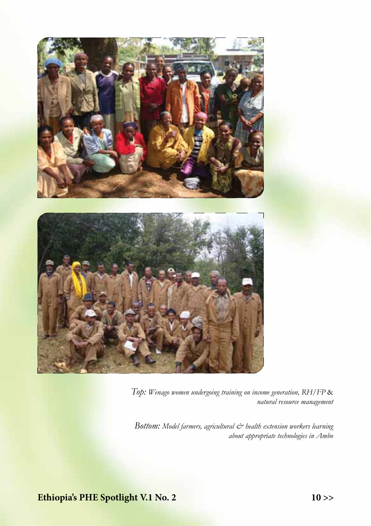

*Top: Wenago women undergoing training on income generation, RH/FP* & *natural resource management*

Bottom: Model farmers, agricultural  $\dot{\mathcal{C}}$  health extension workers learning *about appropriate technologies in Ambo*

**Ethiopia's PHE Spotlight V.1 No. 2 10 >>**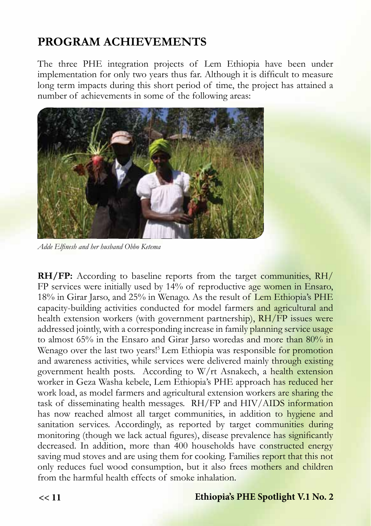# **PROGRAM ACHIEVEMENTS**

The three PHE integration projects of Lem Ethiopia have been under implementation for only two years thus far. Although it is difficult to measure long term impacts during this short period of time, the project has attained a number of achievements in some of the following areas:



*Adde Elfinesh and her husband Obbo Ketema*

**RH/FP:** According to baseline reports from the target communities, RH/ FP services were initially used by 14% of reproductive age women in Ensaro, 18% in Girar Jarso, and 25% in Wenago. As the result of Lem Ethiopia's PHE capacity-building activities conducted for model farmers and agricultural and health extension workers (with government partnership), RH/FP issues were addressed jointly, with a corresponding increase in family planning service usage to almost 65% in the Ensaro and Girar Jarso woredas and more than 80% in Wenago over the last two years!<sup>5</sup> Lem Ethiopia was responsible for promotion and awareness activities, while services were delivered mainly through existing government health posts. According to W/rt Asnakech, a health extension worker in Geza Washa kebele, Lem Ethiopia's PHE approach has reduced her work load, as model farmers and agricultural extension workers are sharing the task of disseminating health messages. RH/FP and HIV/AIDS information has now reached almost all target communities, in addition to hygiene and sanitation services. Accordingly, as reported by target communities during monitoring (though we lack actual figures), disease prevalence has significantly decreased. In addition, more than 400 households have constructed energy saving mud stoves and are using them for cooking. Families report that this not only reduces fuel wood consumption, but it also frees mothers and children from the harmful health effects of smoke inhalation.

#### **<< 11 Ethiopia's PHE Spotlight V.1 No. 2**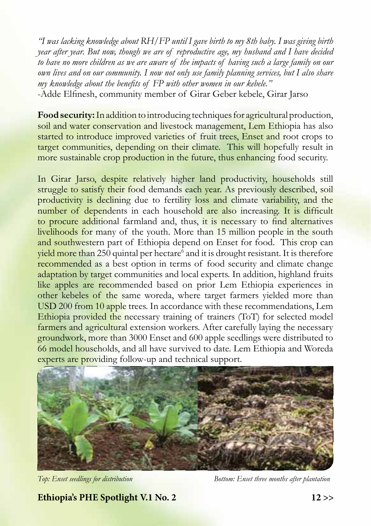*"I was lacking knowledge about RH/FP until I gave birth to my 8th baby. I was giving birth year after year. But now, though we are of reproductive age, my husband and I have decided to have no more children as we are aware of the impacts of having such a large family on our own lives and on our community. I now not only use family planning services, but I also share my knowledge about the benefits of FP with other women in our kebele."* 

-Adde Elfinesh, community member of Girar Geber kebele, Girar Jarso

**Food security:** In addition to introducing techniques for agricultural production, soil and water conservation and livestock management, Lem Ethiopia has also started to introduce improved varieties of fruit trees, Enset and root crops to target communities, depending on their climate. This will hopefully result in more sustainable crop production in the future, thus enhancing food security.

In Girar Jarso, despite relatively higher land productivity, households still struggle to satisfy their food demands each year. As previously described, soil productivity is declining due to fertility loss and climate variability, and the number of dependents in each household are also increasing. It is difficult to procure additional farmland and, thus, it is necessary to find alternatives livelihoods for many of the youth. More than 15 million people in the south and southwestern part of Ethiopia depend on Enset for food. This crop can yield more than 250 quintal per hectare<sup>6</sup> and it is drought resistant. It is therefore recommended as a best option in terms of food security and climate change adaptation by target communities and local experts. In addition, highland fruits like apples are recommended based on prior Lem Ethiopia experiences in other kebeles of the same woreda, where target farmers yielded more than USD 200 from 10 apple trees. In accordance with these recommendations, Lem Ethiopia provided the necessary training of trainers (ToT) for selected model farmers and agricultural extension workers. After carefully laying the necessary groundwork, more than 3000 Enset and 600 apple seedlings were distributed to 66 model households, and all have survived to date. Lem Ethiopia and Woreda experts are providing follow-up and technical support.



*Top: Enset seedlings for distribution Bottom: Enset three months after plantation*

**Ethiopia's PHE Spotlight V.1 No. 2 12 >>**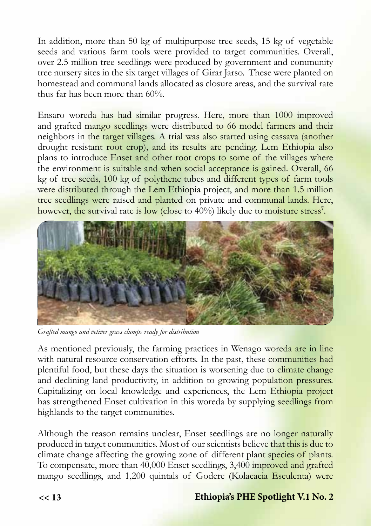In addition, more than 50 kg of multipurpose tree seeds, 15 kg of vegetable seeds and various farm tools were provided to target communities. Overall, over 2.5 million tree seedlings were produced by government and community tree nursery sites in the six target villages of Girar Jarso. These were planted on homestead and communal lands allocated as closure areas, and the survival rate thus far has been more than 60%.

Ensaro woreda has had similar progress. Here, more than 1000 improved and grafted mango seedlings were distributed to 66 model farmers and their neighbors in the target villages. A trial was also started using cassava (another drought resistant root crop), and its results are pending. Lem Ethiopia also plans to introduce Enset and other root crops to some of the villages where the environment is suitable and when social acceptance is gained. Overall, 66 kg of tree seeds, 100 kg of polythene tubes and different types of farm tools were distributed through the Lem Ethiopia project, and more than 1.5 million tree seedlings were raised and planted on private and communal lands. Here, however, the survival rate is low (close to 40%) likely due to moisture stress**<sup>7</sup>** .



*Grafted mango and vetiver grass clumps ready for distribution*

As mentioned previously, the farming practices in Wenago woreda are in line with natural resource conservation efforts. In the past, these communities had plentiful food, but these days the situation is worsening due to climate change and declining land productivity, in addition to growing population pressures. Capitalizing on local knowledge and experiences, the Lem Ethiopia project has strengthened Enset cultivation in this woreda by supplying seedlings from highlands to the target communities.

Although the reason remains unclear, Enset seedlings are no longer naturally produced in target communities. Most of our scientists believe that this is due to climate change affecting the growing zone of different plant species of plants. To compensate, more than 40,000 Enset seedlings, 3,400 improved and grafted mango seedlings, and 1,200 quintals of Godere (Kolacacia Esculenta) were

#### **<< 13 Ethiopia's PHE Spotlight V.1 No. 2**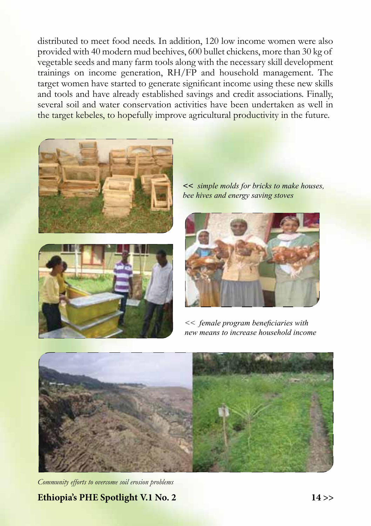distributed to meet food needs. In addition, 120 low income women were also provided with 40 modern mud beehives, 600 bullet chickens, more than 30 kg of vegetable seeds and many farm tools along with the necessary skill development trainings on income generation, RH/FP and household management. The target women have started to generate significant income using these new skills and tools and have already established savings and credit associations. Finally, several soil and water conservation activities have been undertaken as well in the target kebeles, to hopefully improve agricultural productivity in the future.





**<<** *simple molds for bricks to make houses, bee hives and energy saving stoves*



*<< female program beneficiaries with new means to increase household income*



*Community efforts to overcome soil erosion problems*

**Ethiopia's PHE Spotlight V.1 No. 2 14 >>**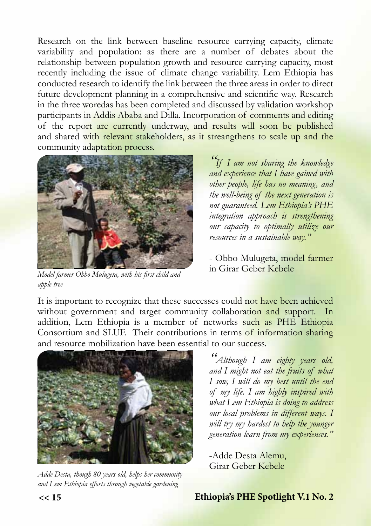Research on the link between baseline resource carrying capacity, climate variability and population: as there are a number of debates about the relationship between population growth and resource carrying capacity, most recently including the issue of climate change variability. Lem Ethiopia has conducted research to identify the link between the three areas in order to direct future development planning in a comprehensive and scientific way. Research in the three woredas has been completed and discussed by validation workshop participants in Addis Ababa and Dilla. Incorporation of comments and editing of the report are currently underway, and results will soon be published and shared with relevant stakeholders, as it streangthens to scale up and the community adaptation process.



*Model farmer Obbo Mulugeta, with his first child and apple tree*

*"If I am not sharing the knowledge and experience that I have gained with other people, life has no meaning, and the well-being of the next generation is not guaranteed. Lem Ethiopia's PHE integration approach is strengthening our capacity to optimally utilize our resources in a sustainable way."*

- Obbo Mulugeta, model farmer in Girar Geber Kebele

It is important to recognize that these successes could not have been achieved without government and target community collaboration and support. In addition, Lem Ethiopia is a member of networks such as PHE Ethiopia Consortium and SLUF. Their contributions in terms of information sharing and resource mobilization have been essential to our success.



*Adde Desta, though 80 years old, helps her community and Lem Ethiopia efforts through vegetable gardening*

*"Although I am eighty years old, and I might not eat the fruits of what I sow, I will do my best until the end of my life. I am highly inspired with what Lem Ethiopia is doing to address our local problems in different ways. I will try my hardest to help the younger generation learn from my experiences."*

-Adde Desta Alemu, Girar Geber Kebele

**<< 15 Ethiopia's PHE Spotlight V.1 No. 2**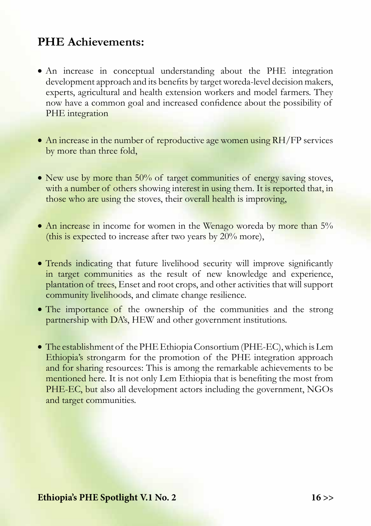## **PHE Achievements:**

- • An increase in conceptual understanding about the PHE integration development approach and its benefits by target woreda-level decision makers, experts, agricultural and health extension workers and model farmers. They now have a common goal and increased confidence about the possibility of PHE integration
- An increase in the number of reproductive age women using RH/FP services by more than three fold,
- New use by more than  $50\%$  of target communities of energy saving stoves, with a number of others showing interest in using them. It is reported that, in those who are using the stoves, their overall health is improving,
- An increase in income for women in the Wenago woreda by more than 5% (this is expected to increase after two years by 20% more),
- Trends indicating that future livelihood security will improve significantly in target communities as the result of new knowledge and experience, plantation of trees, Enset and root crops, and other activities that will support community livelihoods, and climate change resilience.
- The importance of the ownership of the communities and the strong partnership with DA's, HEW and other government institutions.
- The establishment of the PHE Ethiopia Consortium (PHE-EC), which is Lem Ethiopia's strongarm for the promotion of the PHE integration approach and for sharing resources: This is among the remarkable achievements to be mentioned here. It is not only Lem Ethiopia that is benefiting the most from PHE-EC, but also all development actors including the government, NGOs and target communities.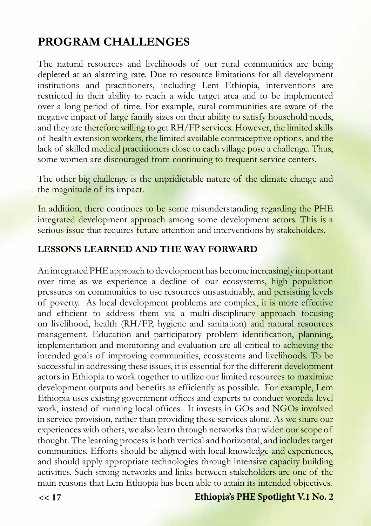# **PROGRAM CHALLENGES**

The natural resources and livelihoods of our rural communities are being depleted at an alarming rate. Due to resource limitations for all development institutions and practitioners, including Lem Ethiopia, interventions are restricted in their ability to reach a wide target area and to be implemented over a long period of time. For example, rural communities are aware of the negative impact of large family sizes on their ability to satisfy household needs, and they are therefore willing to get RH/FP services. However, the limited skills of health extension workers, the limited available contraceptive options, and the lack of skilled medical practitioners close to each village pose a challenge. Thus, some women are discouraged from continuing to frequent service centers.

The other big challenge is the unpridictable nature of the climate change and the magnitude of its impact.

In addition, there continues to be some misunderstanding regarding the PHE integrated development approach among some development actors. This is a serious issue that requires future attention and interventions by stakeholders.

#### **LESSONS LEARNED AND THE WAY FORWARD**

An integrated PHE approach to development has become increasingly important over time as we experience a decline of our ecosystems, high population pressures on communities to use resources unsustainably, and persisting levels of poverty. As local development problems are complex, it is more effective and efficient to address them via a multi-disciplinary approach focusing on livelihood, health (RH/FP, hygiene and sanitation) and natural resources management. Education and participatory problem identification, planning, implementation and monitoring and evaluation are all critical to achieving the intended goals of improving communities, ecosystems and livelihoods. To be successful in addressing these issues, it is essential for the different development actors in Ethiopia to work together to utilize our limited resources to maximize development outputs and benefits as efficiently as possible. For example, Lem Ethiopia uses existing government offices and experts to conduct woreda-level work, instead of running local offices. It invests in GOs and NGOs involved in service provision, rather than providing these services alone. As we share our experiences with others, we also learn through networks that widen our scope of thought. The learning process is both vertical and horizontal, and includes target communities. Efforts should be aligned with local knowledge and experiences, and should apply appropriate technologies through intensive capacity building activities. Such strong networks and links between stakeholders are one of the main reasons that Lem Ethiopia has been able to attain its intended objectives.

#### **<< 17 Ethiopia's PHE Spotlight V.1 No. 2**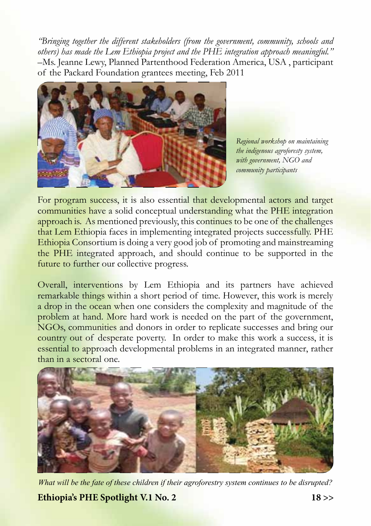*"Bringing together the different stakeholders (from the government, community, schools and others) has made the Lem Ethiopia project and the PHE integration approach meaningful."* –Ms. Jeanne Lewy, Planned Partenthood Federation America, USA , participant of the Packard Foundation grantees meeting, Feb 2011



*Regional workshop on maintaining the indigenous agroforesty system, with government, NGO and community participants*

For program success, it is also essential that developmental actors and target communities have a solid conceptual understanding what the PHE integration approach is. As mentioned previously, this continues to be one of the challenges that Lem Ethiopia faces in implementing integrated projects successfully. PHE Ethiopia Consortium is doing a very good job of promoting and mainstreaming the PHE integrated approach, and should continue to be supported in the future to further our collective progress.

Overall, interventions by Lem Ethiopia and its partners have achieved remarkable things within a short period of time. However, this work is merely a drop in the ocean when one considers the complexity and magnitude of the problem at hand. More hard work is needed on the part of the government, NGOs, communities and donors in order to replicate successes and bring our country out of desperate poverty. In order to make this work a success, it is essential to approach developmental problems in an integrated manner, rather than in a sectoral one.



*What will be the fate of these children if their agroforestry system continues to be disrupted?*

**Ethiopia's PHE Spotlight V.1 No. 2 18 >>**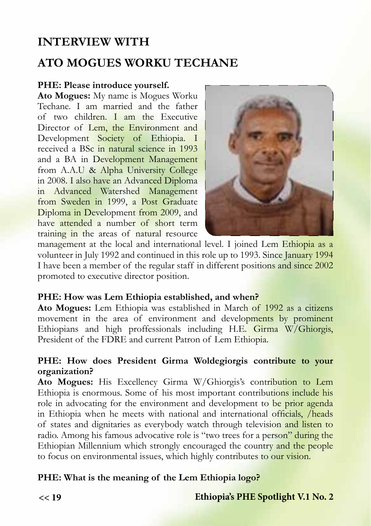## **INTERVIEW WITH**

## **ATO MOGUES WORKU TECHANE**

#### **PHE: Please introduce yourself.**

**Ato Mogues:** My name is Mogues Worku Techane. I am married and the father of two children. I am the Executive Director of Lem, the Environment and Development Society of Ethiopia. I received a BSc in natural science in 1993 and a BA in Development Management from A.A.U & Alpha University College in 2008. I also have an Advanced Diploma in Advanced Watershed Management from Sweden in 1999, a Post Graduate Diploma in Development from 2009, and have attended a number of short term training in the areas of natural resource



management at the local and international level. I joined Lem Ethiopia as a volunteer in July 1992 and continued in this role up to 1993. Since January 1994 I have been a member of the regular staff in different positions and since 2002 promoted to executive director position.

#### **PHE: How was Lem Ethiopia established, and when?**

**Ato Mogues:** Lem Ethiopia was established in March of 1992 as a citizens movement in the area of environment and developments by prominent Ethiopians and high proffessionals including H.E. Girma W/Ghiorgis, President of the FDRE and current Patron of Lem Ethiopia.

#### **PHE: How does President Girma Woldegiorgis contribute to your organization?**

**Ato Mogues:** His Excellency Girma W/Ghiorgis's contribution to Lem Ethiopia is enormous. Some of his most important contributions include his role in advocating for the environment and development to be prior agenda in Ethiopia when he meets with national and international officials, /heads of states and dignitaries as everybody watch through television and listen to radio. Among his famous advocative role is "two trees for a person" during the Ethiopian Millennium which strongly encouraged the country and the people to focus on environmental issues, which highly contributes to our vision.

#### **PHE: What is the meaning of the Lem Ethiopia logo?**

#### **<< 19 Ethiopia's PHE Spotlight V.1 No. 2**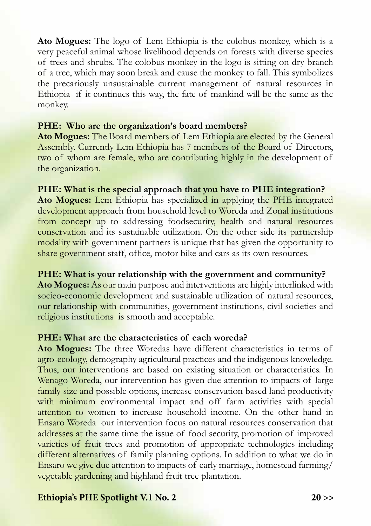**Ato Mogues:** The logo of Lem Ethiopia is the colobus monkey, which is a very peaceful animal whose livelihood depends on forests with diverse species of trees and shrubs. The colobus monkey in the logo is sitting on dry branch of a tree, which may soon break and cause the monkey to fall. This symbolizes the precariously unsustainable current management of natural resources in Ethiopia- if it continues this way, the fate of mankind will be the same as the monkey.

#### **PHE: Who are the organization's board members?**

**Ato Mogues:** The Board members of Lem Ethiopia are elected by the General Assembly. Currently Lem Ethiopia has 7 members of the Board of Directors, two of whom are female, who are contributing highly in the development of the organization.

#### **PHE: What is the special approach that you have to PHE integration?**

**Ato Mogues:** Lem Ethiopia has specialized in applying the PHE integrated development approach from household level to Woreda and Zonal institutions from concept up to addressing foodsecurity, health and natural resources conservation and its sustainable utilization. On the other side its partnership modality with government partners is unique that has given the opportunity to share government staff, office, motor bike and cars as its own resources.

#### **PHE: What is your relationship with the government and community?**

**Ato Mogues:** As our main purpose and interventions are highly interlinked with socieo-economic development and sustainable utilization of natural resources, our relationship with communities, government institutions, civil societies and religious institutions is smooth and acceptable.

#### **PHE: What are the characteristics of each woreda?**

**Ato Mogues:** The three Woredas have different characteristics in terms of agro-ecology, demography agricultural practices and the indigenous knowledge. Thus, our interventions are based on existing situation or characteristics. In Wenago Woreda, our intervention has given due attention to impacts of large family size and possible options, increase conservation based land productivity with minimum environmental impact and off farm activities with special attention to women to increase household income. On the other hand in Ensaro Woreda our intervention focus on natural resources conservation that addresses at the same time the issue of food security, promotion of improved varieties of fruit trees and promotion of appropriate technologies including different alternatives of family planning options. In addition to what we do in Ensaro we give due attention to impacts of early marriage, homestead farming/ vegetable gardening and highland fruit tree plantation.

#### **Ethiopia's PHE Spotlight V.1 No. 2 20 >>**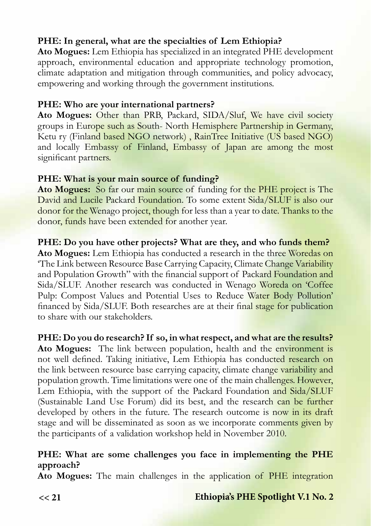### **PHE: In general, what are the specialties of Lem Ethiopia?**

**Ato Mogues:** Lem Ethiopia has specialized in an integrated PHE development approach, environmental education and appropriate technology promotion, climate adaptation and mitigation through communities, and policy advocacy, empowering and working through the government institutions.

#### **PHE: Who are your international partners?**

**Ato Mogues:** Other than PRB, Packard, SIDA/Sluf, We have civil society groups in Europe such as South- North Hemisphere Partnership in Germany, Ketu ry (Finland based NGO network) , RainTree Initiative (US based NGO) and locally Embassy of Finland, Embassy of Japan are among the most significant partners.

#### **PHE: What is your main source of funding?**

**Ato Mogues:** So far our main source of funding for the PHE project is The David and Lucile Packard Foundation. To some extent Sida/SLUF is also our donor for the Wenago project, though for less than a year to date. Thanks to the donor, funds have been extended for another year.

#### **PHE: Do you have other projects? What are they, and who funds them?**

**Ato Mogues:** Lem Ethiopia has conducted a research in the three Woredas on 'The Link between Resource Base Carrying Capacity, Climate Change Variability and Population Growth" with the financial support of Packard Foundation and Sida/SLUF. Another research was conducted in Wenago Woreda on 'Coffee Pulp: Compost Values and Potential Uses to Reduce Water Body Pollution' financed by Sida/SLUF. Both researches are at their final stage for publication to share with our stakeholders.

#### **PHE: Do you do research? If so, in what respect, and what are the results?**

**Ato Mogues:** The link between population, health and the environment is not well defined. Taking initiative, Lem Ethiopia has conducted research on the link between resource base carrying capacity, climate change variability and population growth. Time limitations were one of the main challenges. However, Lem Ethiopia, with the support of the Packard Foundation and Sida/SLUF (Sustainable Land Use Forum) did its best, and the research can be further developed by others in the future. The research outcome is now in its draft stage and will be disseminated as soon as we incorporate comments given by the participants of a validation workshop held in November 2010.

#### **PHE: What are some challenges you face in implementing the PHE approach?**

**Ato Mogues:** The main challenges in the application of PHE integration

#### **Ethiopia's PHE Spotlight V.1 No. 2**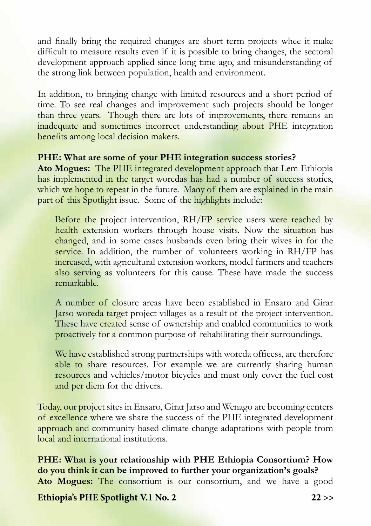and finally bring the required changes are short term projects whee it make difficult to measure results even if it is possible to bring changes, the sectoral development approach applied since long time ago, and misunderstanding of the strong link between population, health and environment.

In addition, to bringing change with limited resources and a short period of time. To see real changes and improvement such projects should be longer than three years. Though there are lots of improvements, there remains an inadequate and sometimes incorrect understanding about PHE integration benefits among local decision makers.

#### **PHE: What are some of your PHE integration success stories?**

**Ato Mogues:** The PHE integrated development approach that Lem Ethiopia has implemented in the target woredas has had a number of success stories, which we hope to repeat in the future. Many of them are explained in the main part of this Spotlight issue. Some of the highlights include:

Before the project intervention, RH/FP service users were reached by health extension workers through house visits. Now the situation has changed, and in some cases husbands even bring their wives in for the service. In addition, the number of volunteers working in RH/FP has increased, with agricultural extension workers, model farmers and teachers also serving as volunteers for this cause. These have made the success remarkable.

A number of closure areas have been established in Ensaro and Girar Jarso woreda target project villages as a result of the project intervention. These have created sense of ownership and enabled communities to work proactively for a common purpose of rehabilitating their surroundings.

We have established strong partnerships with woreda officess, are therefore able to share resources. For example we are currently sharing human resources and vehicles/motor bicycles and must only cover the fuel cost and per diem for the drivers.

Today, our project sites in Ensaro, Girar Jarso and Wenago are becoming centers of excellence where we share the success of the PHE integrated development approach and community based climate change adaptations with people from local and international institutions.

**PHE: What is your relationship with PHE Ethiopia Consortium? How do you think it can be improved to further your organization's goals? Ato Mogues:** The consortium is our consortium, and we have a good

**Ethiopia's PHE Spotlight V.1 No. 2 22 >>**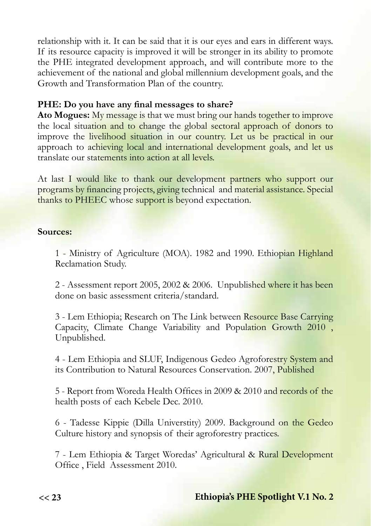relationship with it. It can be said that it is our eyes and ears in different ways. If its resource capacity is improved it will be stronger in its ability to promote the PHE integrated development approach, and will contribute more to the achievement of the national and global millennium development goals, and the Growth and Transformation Plan of the country.

#### **PHE: Do you have any final messages to share?**

**Ato Mogues:** My message is that we must bring our hands together to improve the local situation and to change the global sectoral approach of donors to improve the livelihood situation in our country. Let us be practical in our approach to achieving local and international development goals, and let us translate our statements into action at all levels.

At last I would like to thank our development partners who support our programs by financing projects, giving technical and material assistance. Special thanks to PHEEC whose support is beyond expectation.

#### **Sources:**

1 - Ministry of Agriculture (MOA). 1982 and 1990. Ethiopian Highland Reclamation Study.

2 - Assessment report 2005, 2002 & 2006. Unpublished where it has been done on basic assessment criteria/standard.

3 - Lem Ethiopia; Research on The Link between Resource Base Carrying Capacity, Climate Change Variability and Population Growth 2010 , Unpublished.

4 - Lem Ethiopia and SLUF, Indigenous Gedeo Agroforestry System and its Contribution to Natural Resources Conservation. 2007, Published

5 - Report from Woreda Health Offices in 2009 & 2010 and records of the health posts of each Kebele Dec. 2010.

6 - Tadesse Kippie (Dilla Universtity) 2009. Background on the Gedeo Culture history and synopsis of their agroforestry practices.

7 - Lem Ethiopia & Target Woredas' Agricultural & Rural Development Office , Field Assessment 2010.